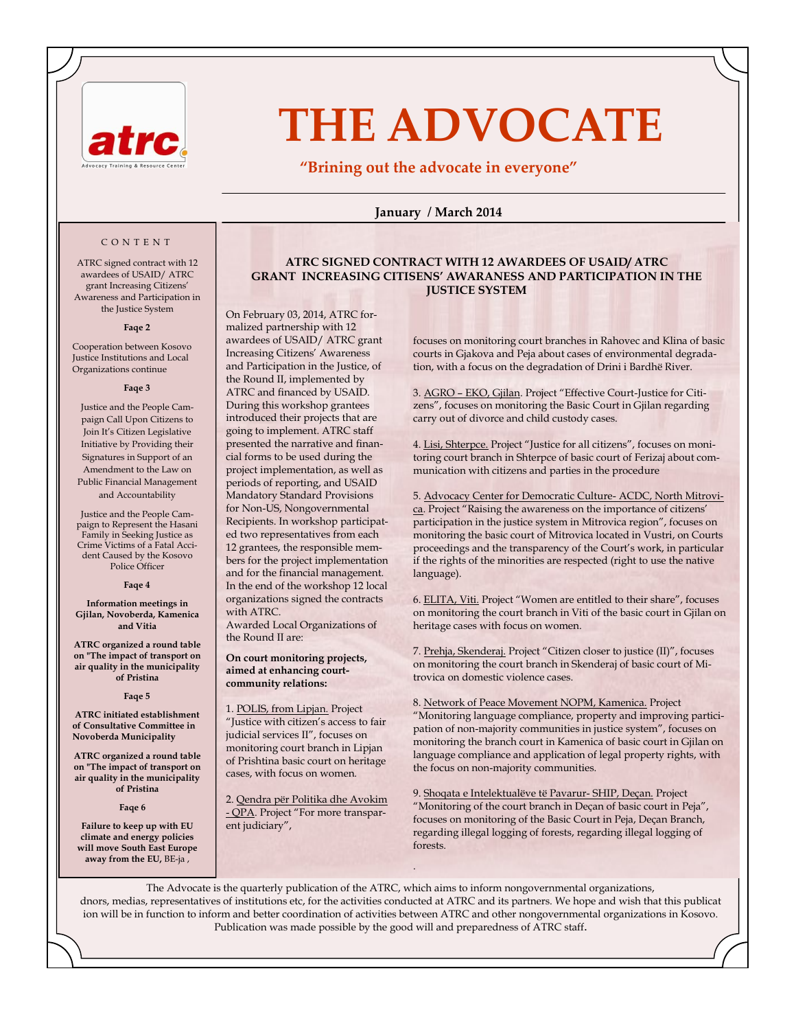

# **THE ADVOCATE**

### **"Brining out the advocate in everyone"**

### **January / March 2014**

### C O N T E N T

ATRC signed contract with 12 awardees of USAID/ ATRC grant Increasing Citizens' Awareness and Participation in the Justice System

#### **Faqe 2**

Cooperation between Kosovo Justice Institutions and Local Organizations continue

#### **Faqe 3**

Justice and the People Campaign Call Upon Citizens to Join It's Citizen Legislative Initiative by Providing their Signatures in Support of an Amendment to the Law on Public Financial Management and Accountability

Justice and the People Campaign to Represent the Hasani Family in Seeking Justice as Crime Victims of a Fatal Accident Caused by the Kosovo Police Officer

#### **Faqe 4**

**Information meetings in Gjilan, Novoberda, Kamenica and Vitia**

**ATRC organized a round table on "The impact of transport on air quality in the municipality of Pristina**

#### **Faqe 5**

**ATRC initiated establishment of Consultative Committee in Novoberda Municipality**

**ATRC organized a round table on "The impact of transport on air quality in the municipality of Pristina**

**Faqe 6** 

**Failure to keep up with EU climate and energy policies will move South East Europe away from the EU,** BE-ja ,

**ATRC SIGNED CONTRACT WITH 12 AWARDEES OF USAID/ ATRC GRANT INCREASING CITISENS' AWARANESS AND PARTICIPATION IN THE JUSTICE SYSTEM**

On February 03, 2014, ATRC formalized partnership with 12 awardees of USAID/ ATRC grant Increasing Citizens' Awareness and Participation in the Justice, of the Round II, implemented by ATRC and financed by USAID. During this workshop grantees introduced their projects that are going to implement. ATRC staff presented the narrative and financial forms to be used during the project implementation, as well as periods of reporting, and USAID Mandatory Standard Provisions for Non-US, Nongovernmental Recipients. In workshop participated two representatives from each 12 grantees, the responsible members for the project implementation and for the financial management. In the end of the workshop 12 local organizations signed the contracts with ATRC. Awarded Local Organizations of

the Round II are:

**On court monitoring projects, aimed at enhancing courtcommunity relations:**

1. POLIS, from Lipjan. Project "Justice with citizen's access to fair judicial services II", focuses on monitoring court branch in Lipjan of Prishtina basic court on heritage cases, with focus on women.

2. Qendra për Politika dhe Avokim - QPA. Project "For more transparent judiciary",

focuses on monitoring court branches in Rahovec and Klina of basic courts in Gjakova and Peja about cases of environmental degradation, with a focus on the degradation of Drini i Bardhë River.

3. AGRO – EKO, Gjilan. Project "Effective Court-Justice for Citizens", focuses on monitoring the Basic Court in Gjilan regarding carry out of divorce and child custody cases.

4. Lisi, Shterpce. Project "Justice for all citizens", focuses on monitoring court branch in Shterpce of basic court of Ferizaj about communication with citizens and parties in the procedure

5. Advocacy Center for Democratic Culture- ACDC, North Mitrovica. Project "Raising the awareness on the importance of citizens' participation in the justice system in Mitrovica region", focuses on monitoring the basic court of Mitrovica located in Vustri, on Courts proceedings and the transparency of the Court's work, in particular if the rights of the minorities are respected (right to use the native language).

6. ELITA, Viti. Project "Women are entitled to their share", focuses on monitoring the court branch in Viti of the basic court in Gjilan on heritage cases with focus on women.

7. Prehja, Skenderaj. Project "Citizen closer to justice (II)", focuses on monitoring the court branch in Skenderaj of basic court of Mitrovica on domestic violence cases.

8. Network of Peace Movement NOPM, Kamenica. Project

"Monitoring language compliance, property and improving participation of non-majority communities in justice system", focuses on monitoring the branch court in Kamenica of basic court in Gjilan on language compliance and application of legal property rights, with the focus on non-majority communities.

9. Shoqata e Intelektualëve të Pavarur- SHIP, Deçan. Project "Monitoring of the court branch in Deçan of basic court in Peja", focuses on monitoring of the Basic Court in Peja, Deçan Branch, regarding illegal logging of forests, regarding illegal logging of forests.

The Advocate is the quarterly publication of the ATRC, which aims to inform nongovernmental organizations, dnors, medias, representatives of institutions etc, for the activities conducted at ATRC and its partners. We hope and wish that this publicat ion will be in function to inform and better coordination of activities between ATRC and other nongovernmental organizations in Kosovo. Publication was made possible by the good will and preparedness of ATRC staff.

.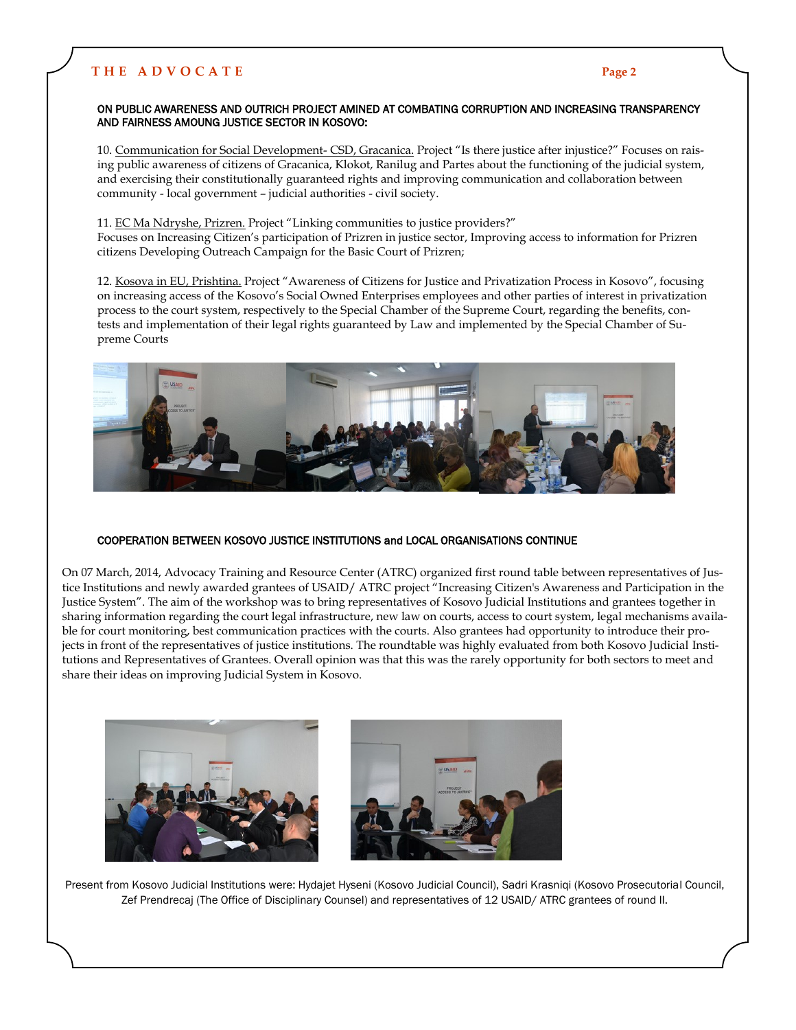### **T H E A D V O C A T E**

### **Page 2**

### ON PUBLIC AWARENESS AND OUTRICH PROJECT AMINED AT COMBATING CORRUPTION AND INCREASING TRANSPARENCY AND FAIRNESS AMOUNG JUSTICE SECTOR IN KOSOVO:

10. Communication for Social Development- CSD, Gracanica. Project "Is there justice after injustice?" Focuses on raising public awareness of citizens of Gracanica, Klokot, Ranilug and Partes about the functioning of the judicial system, and exercising their constitutionally guaranteed rights and improving communication and collaboration between community - local government – judicial authorities - civil society.

11. EC Ma Ndryshe, Prizren. Project "Linking communities to justice providers?" Focuses on Increasing Citizen's participation of Prizren in justice sector, Improving access to information for Prizren citizens Developing Outreach Campaign for the Basic Court of Prizren;

12. Kosova in EU, Prishtina. Project "Awareness of Citizens for Justice and Privatization Process in Kosovo", focusing on increasing access of the Kosovo's Social Owned Enterprises employees and other parties of interest in privatization process to the court system, respectively to the Special Chamber of the Supreme Court, regarding the benefits, contests and implementation of their legal rights guaranteed by Law and implemented by the Special Chamber of Supreme Courts



### COOPERATION BETWEEN KOSOVO JUSTICE INSTITUTIONS and LOCAL ORGANISATIONS CONTINUE

On 07 March, 2014, Advocacy Training and Resource Center (ATRC) organized first round table between representatives of Justice Institutions and newly awarded grantees of USAID/ ATRC project "Increasing Citizen's Awareness and Participation in the Justice System". The aim of the workshop was to bring representatives of Kosovo Judicial Institutions and grantees together in sharing information regarding the court legal infrastructure, new law on courts, access to court system, legal mechanisms available for court monitoring, best communication practices with the courts. Also grantees had opportunity to introduce their projects in front of the representatives of justice institutions. The roundtable was highly evaluated from both Kosovo Judicial Institutions and Representatives of Grantees. Overall opinion was that this was the rarely opportunity for both sectors to meet and share their ideas on improving Judicial System in Kosovo.



Present from Kosovo Judicial Institutions were: Hydajet Hyseni (Kosovo Judicial Council), Sadri Krasniqi (Kosovo Prosecutorial Council, Zef Prendrecaj (The Office of Disciplinary Counsel) and representatives of 12 USAID/ ATRC grantees of round II.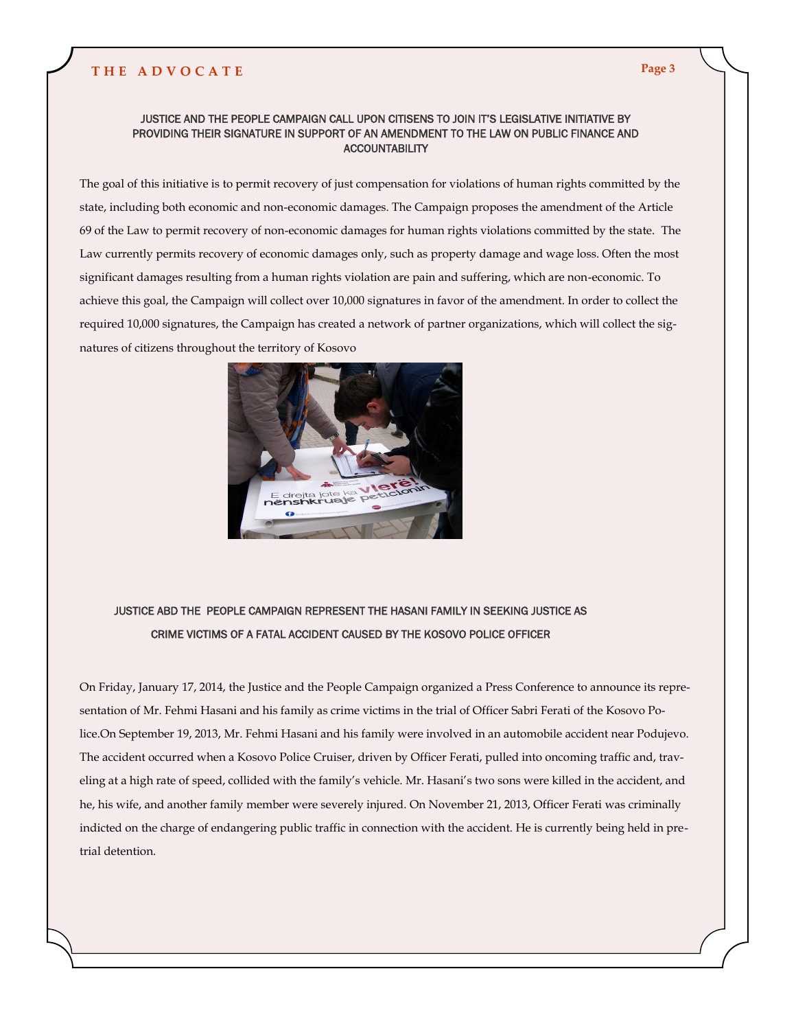### JUSTICE AND THE PEOPLE CAMPAIGN CALL UPON CITISENS TO JOIN IT'S LEGISLATIVE INITIATIVE BY PROVIDING THEIR SIGNATURE IN SUPPORT OF AN AMENDMENT TO THE LAW ON PUBLIC FINANCE AND **ACCOUNTABILITY**

The goal of this initiative is to permit recovery of just compensation for violations of human rights committed by the state, including both economic and non-economic damages. The Campaign proposes the amendment of the Article 69 of the Law to permit recovery of non-economic damages for human rights violations committed by the state. The Law currently permits recovery of economic damages only, such as property damage and wage loss. Often the most significant damages resulting from a human rights violation are pain and suffering, which are non-economic. To achieve this goal, the Campaign will collect over 10,000 signatures in favor of the amendment. In order to collect the required 10,000 signatures, the Campaign has created a network of partner organizations, which will collect the signatures of citizens throughout the territory of Kosovo



### JUSTICE ABD THE PEOPLE CAMPAIGN REPRESENT THE HASANI FAMILY IN SEEKING JUSTICE AS CRIME VICTIMS OF A FATAL ACCIDENT CAUSED BY THE KOSOVO POLICE OFFICER

On Friday, January 17, 2014, the Justice and the People Campaign organized a Press Conference to announce its representation of Mr. Fehmi Hasani and his family as crime victims in the trial of Officer Sabri Ferati of the Kosovo Police.On September 19, 2013, Mr. Fehmi Hasani and his family were involved in an automobile accident near Podujevo. The accident occurred when a Kosovo Police Cruiser, driven by Officer Ferati, pulled into oncoming traffic and, traveling at a high rate of speed, collided with the family's vehicle. Mr. Hasani's two sons were killed in the accident, and he, his wife, and another family member were severely injured. On November 21, 2013, Officer Ferati was criminally indicted on the charge of endangering public traffic in connection with the accident. He is currently being held in pretrial detention.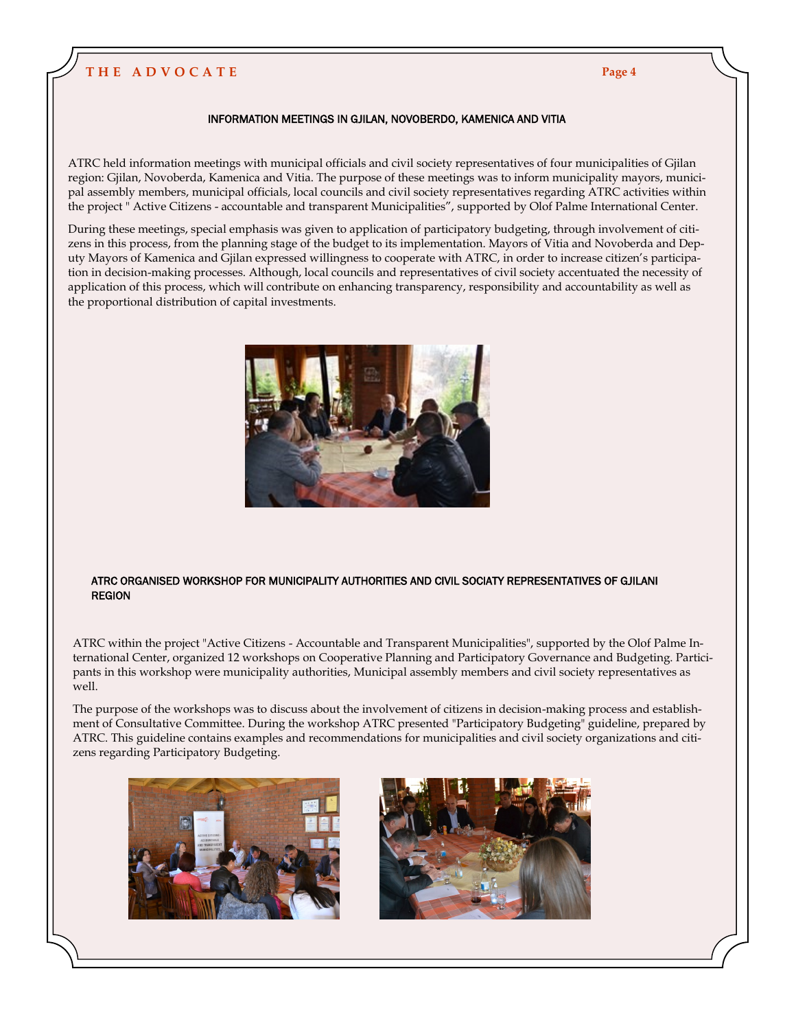### INFORMATION MEETINGS IN GJILAN, NOVOBERDO, KAMENICA AND VITIA

ATRC held information meetings with municipal officials and civil society representatives of four municipalities of Gjilan region: Gjilan, Novoberda, Kamenica and Vitia. The purpose of these meetings was to inform municipality mayors, municipal assembly members, municipal officials, local councils and civil society representatives regarding ATRC activities within the project " Active Citizens - accountable and transparent Municipalities", supported by Olof Palme International Center.

During these meetings, special emphasis was given to application of participatory budgeting, through involvement of citizens in this process, from the planning stage of the budget to its implementation. Mayors of Vitia and Novoberda and Deputy Mayors of Kamenica and Gjilan expressed willingness to cooperate with ATRC, in order to increase citizen's participation in decision-making processes. Although, local councils and representatives of civil society accentuated the necessity of application of this process, which will contribute on enhancing transparency, responsibility and accountability as well as the proportional distribution of capital investments.



### ATRC ORGANISED WORKSHOP FOR MUNICIPALITY AUTHORITIES AND CIVIL SOCIATY REPRESENTATIVES OF GJILANI REGION

ATRC within the project "Active Citizens - Accountable and Transparent Municipalities", supported by the Olof Palme International Center, organized 12 workshops on Cooperative Planning and Participatory Governance and Budgeting. Participants in this workshop were municipality authorities, Municipal assembly members and civil society representatives as well.

The purpose of the workshops was to discuss about the involvement of citizens in decision-making process and establishment of Consultative Committee. During the workshop ATRC presented "Participatory Budgeting" guideline, prepared by ATRC. This guideline contains examples and recommendations for municipalities and civil society organizations and citizens regarding Participatory Budgeting.



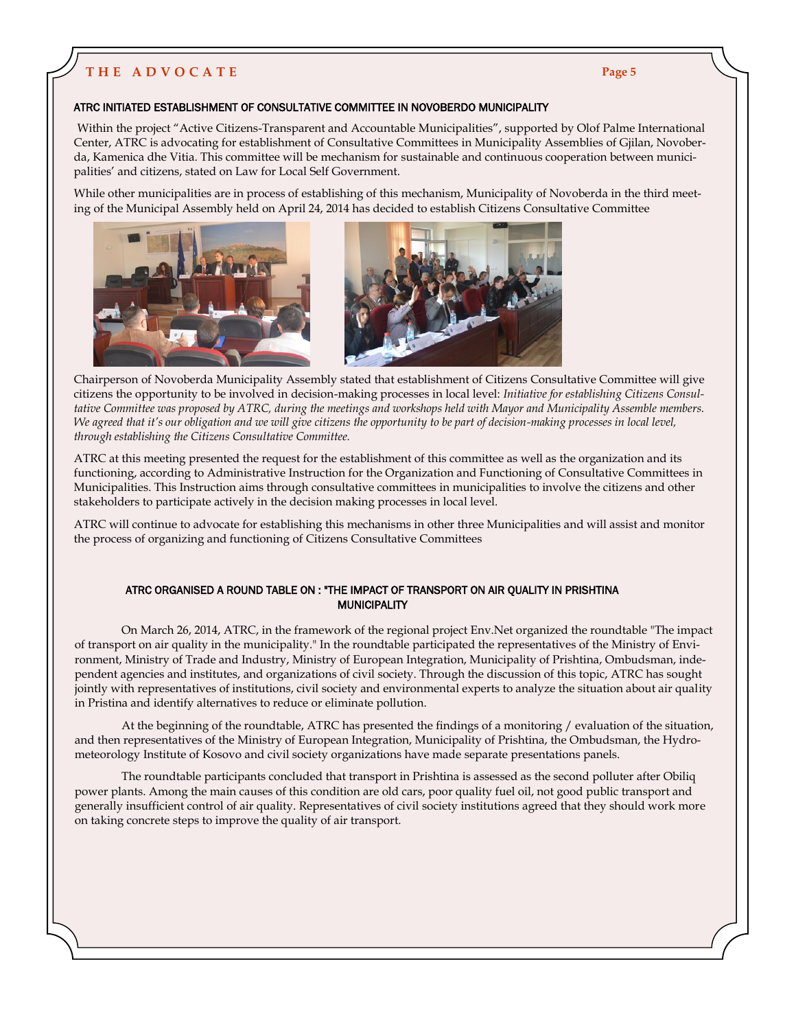### ATRC INITIATED ESTABLISHMENT OF CONSULTATIVE COMMITTEE IN NOVOBERDO MUNICIPALITY

Within the project "Active Citizens-Transparent and Accountable Municipalities", supported by Olof Palme International Center, ATRC is advocating for establishment of Consultative Committees in Municipality Assemblies of Gjilan, Novoberda, Kamenica dhe Vitia. This committee will be mechanism for sustainable and continuous cooperation between municipalities' and citizens, stated on Law for Local Self Government.

While other municipalities are in process of establishing of this mechanism, Municipality of Novoberda in the third meeting of the Municipal Assembly held on April 24, 2014 has decided to establish Citizens Consultative Committee





Chairperson of Novoberda Municipality Assembly stated that establishment of Citizens Consultative Committee will give citizens the opportunity to be involved in decision-making processes in local level: *Initiative for establishing Citizens Consultative Committee was proposed by ATRC, during the meetings and workshops held with Mayor and Municipality Assemble members.*  We agreed that it's our obligation and we will give citizens the opportunity to be part of decision-making processes in local level, *through establishing the Citizens Consultative Committee.*

ATRC at this meeting presented the request for the establishment of this committee as well as the organization and its functioning, according to Administrative Instruction for the Organization and Functioning of Consultative Committees in Municipalities. This Instruction aims through consultative committees in municipalities to involve the citizens and other stakeholders to participate actively in the decision making processes in local level.

ATRC will continue to advocate for establishing this mechanisms in other three Municipalities and will assist and monitor the process of organizing and functioning of Citizens Consultative Committees

### ATRC ORGANISED A ROUND TABLE ON : "THE IMPACT OF TRANSPORT ON AIR QUALITY IN PRISHTINA **MUNICIPALITY**

On March 26, 2014, ATRC, in the framework of the regional project Env.Net organized the roundtable "The impact of transport on air quality in the municipality." In the roundtable participated the representatives of the Ministry of Environment, Ministry of Trade and Industry, Ministry of European Integration, Municipality of Prishtina, Ombudsman, independent agencies and institutes, and organizations of civil society. Through the discussion of this topic, ATRC has sought jointly with representatives of institutions, civil society and environmental experts to analyze the situation about air quality in Pristina and identify alternatives to reduce or eliminate pollution.

At the beginning of the roundtable, ATRC has presented the findings of a monitoring / evaluation of the situation, and then representatives of the Ministry of European Integration, Municipality of Prishtina, the Ombudsman, the Hydrometeorology Institute of Kosovo and civil society organizations have made separate presentations panels.

The roundtable participants concluded that transport in Prishtina is assessed as the second polluter after Obiliq power plants. Among the main causes of this condition are old cars, poor quality fuel oil, not good public transport and generally insufficient control of air quality. Representatives of civil society institutions agreed that they should work more on taking concrete steps to improve the quality of air transport.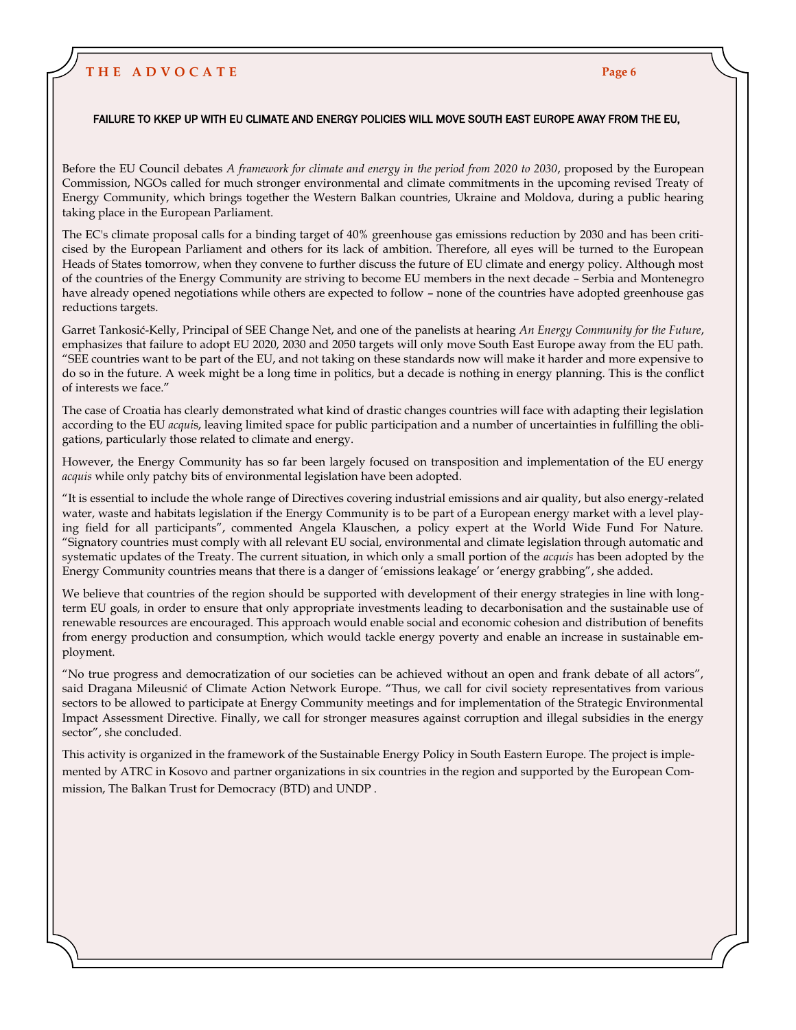### FAILURE TO KKEP UP WITH EU CLIMATE AND ENERGY POLICIES WILL MOVE SOUTH EAST EUROPE AWAY FROM THE EU,

Before the EU Council debates *A framework for climate and energy in the period from 2020 to 2030*, proposed by the European Commission, NGOs called for much stronger environmental and climate commitments in the upcoming revised Treaty of Energy Community, which brings together the Western Balkan countries, Ukraine and Moldova, during a public hearing taking place in the European Parliament.

The EC's climate proposal calls for a binding target of 40% greenhouse gas emissions reduction by 2030 and has been criticised by the European Parliament and others for its lack of ambition. Therefore, all eyes will be turned to the European Heads of States tomorrow, when they convene to further discuss the future of EU climate and energy policy. Although most of the countries of the Energy Community are striving to become EU members in the next decade – Serbia and Montenegro have already opened negotiations while others are expected to follow – none of the countries have adopted greenhouse gas reductions targets.

Garret Tankosić-Kelly, Principal of SEE Change Net, and one of the panelists at hearing *An Energy Community for the Future*, emphasizes that failure to adopt EU 2020, 2030 and 2050 targets will only move South East Europe away from the EU path. "SEE countries want to be part of the EU, and not taking on these standards now will make it harder and more expensive to do so in the future. A week might be a long time in politics, but a decade is nothing in energy planning. This is the conflict of interests we face."

The case of Croatia has clearly demonstrated what kind of drastic changes countries will face with adapting their legislation according to the EU *acqui*s, leaving limited space for public participation and a number of uncertainties in fulfilling the obligations, particularly those related to climate and energy.

However, the Energy Community has so far been largely focused on transposition and implementation of the EU energy *acquis* while only patchy bits of environmental legislation have been adopted.

"It is essential to include the whole range of Directives covering industrial emissions and air quality, but also energy-related water, waste and habitats legislation if the Energy Community is to be part of a European energy market with a level playing field for all participants", commented Angela Klauschen, a policy expert at the World Wide Fund For Nature. "Signatory countries must comply with all relevant EU social, environmental and climate legislation through automatic and systematic updates of the Treaty. The current situation, in which only a small portion of the *acquis* has been adopted by the Energy Community countries means that there is a danger of 'emissions leakage' or 'energy grabbing", she added.

We believe that countries of the region should be supported with development of their energy strategies in line with longterm EU goals, in order to ensure that only appropriate investments leading to decarbonisation and the sustainable use of renewable resources are encouraged. This approach would enable social and economic cohesion and distribution of benefits from energy production and consumption, which would tackle energy poverty and enable an increase in sustainable employment.

"No true progress and democratization of our societies can be achieved without an open and frank debate of all actors", said Dragana Mileusnić of Climate Action Network Europe. "Thus, we call for civil society representatives from various sectors to be allowed to participate at Energy Community meetings and for implementation of the Strategic Environmental Impact Assessment Directive. Finally, we call for stronger measures against corruption and illegal subsidies in the energy sector", she concluded.

This activity is organized in the framework of the Sustainable Energy Policy in South Eastern Europe. The project is implemented by ATRC in Kosovo and partner organizations in six countries in the region and supported by the European Commission, The Balkan Trust for Democracy (BTD) and UNDP .